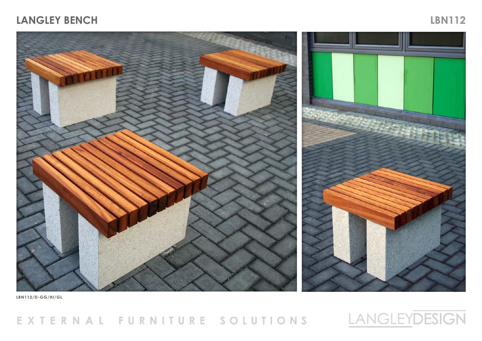## **LANGLEY BENCH LBN112**



**LBN112/D-GG/HI/GL** 

## EXTERNAL FURNITURE SOLUTIONS